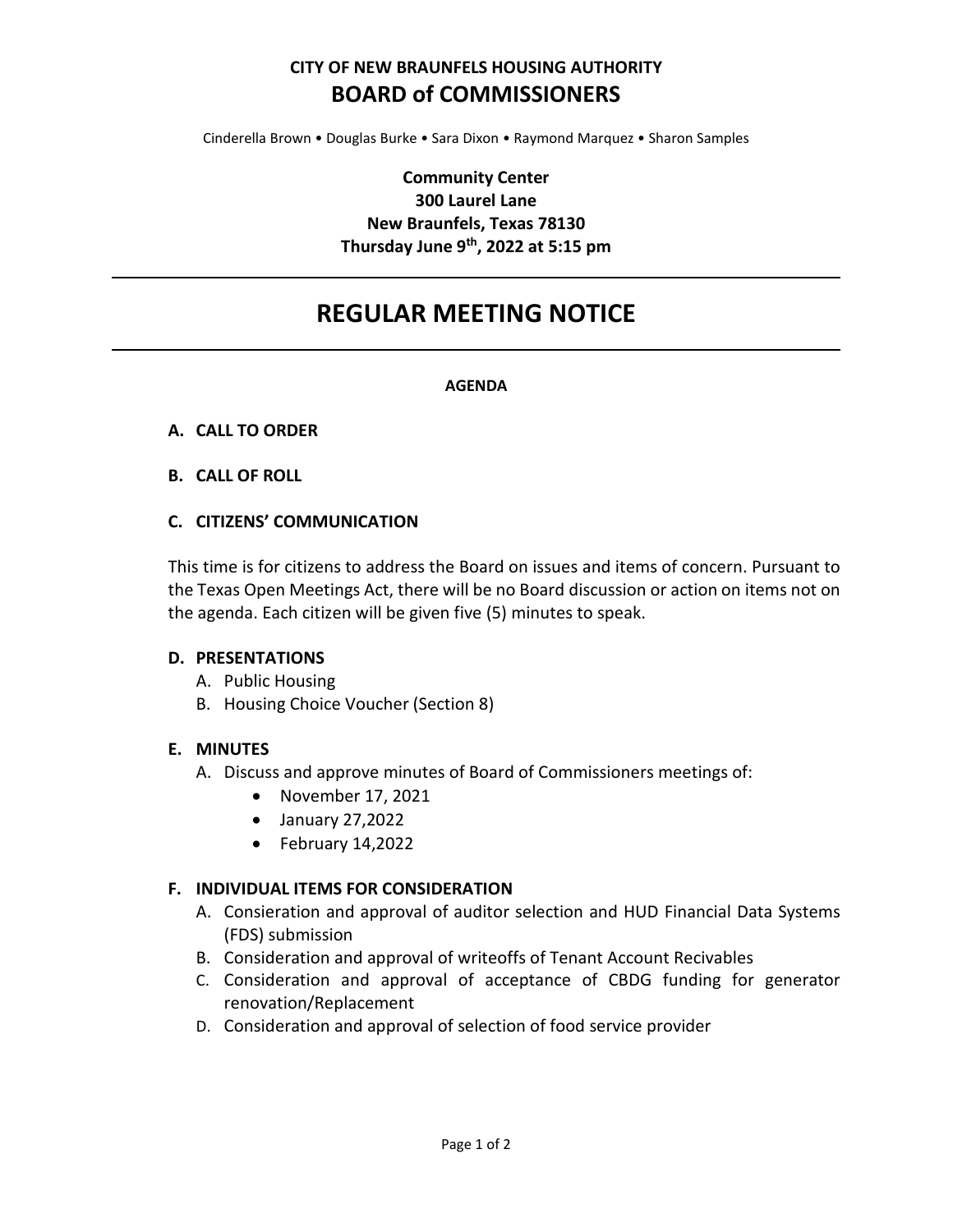# **CITY OF NEW BRAUNFELS HOUSING AUTHORITY BOARD of COMMISSIONERS**

Cinderella Brown • Douglas Burke • Sara Dixon • Raymond Marquez • Sharon Samples

## **Community Center 300 Laurel Lane New Braunfels, Texas 78130 Thursday June 9th, 2022 at 5:15 pm**

# **REGULAR MEETING NOTICE**

#### **AGENDA**

#### **A. CALL TO ORDER**

#### **B. CALL OF ROLL**

#### **C. CITIZENS' COMMUNICATION**

This time is for citizens to address the Board on issues and items of concern. Pursuant to the Texas Open Meetings Act, there will be no Board discussion or action on items not on the agenda. Each citizen will be given five (5) minutes to speak.

#### **D. PRESENTATIONS**

- A. Public Housing
- B. Housing Choice Voucher (Section 8)

#### **E. MINUTES**

- A. Discuss and approve minutes of Board of Commissioners meetings of:
	- November 17, 2021
	- January 27,2022
	- February 14,2022

#### **F. INDIVIDUAL ITEMS FOR CONSIDERATION**

- A. Consieration and approval of auditor selection and HUD Financial Data Systems (FDS) submission
- B. Consideration and approval of writeoffs of Tenant Account Recivables
- C. Consideration and approval of acceptance of CBDG funding for generator renovation/Replacement
- D. Consideration and approval of selection of food service provider